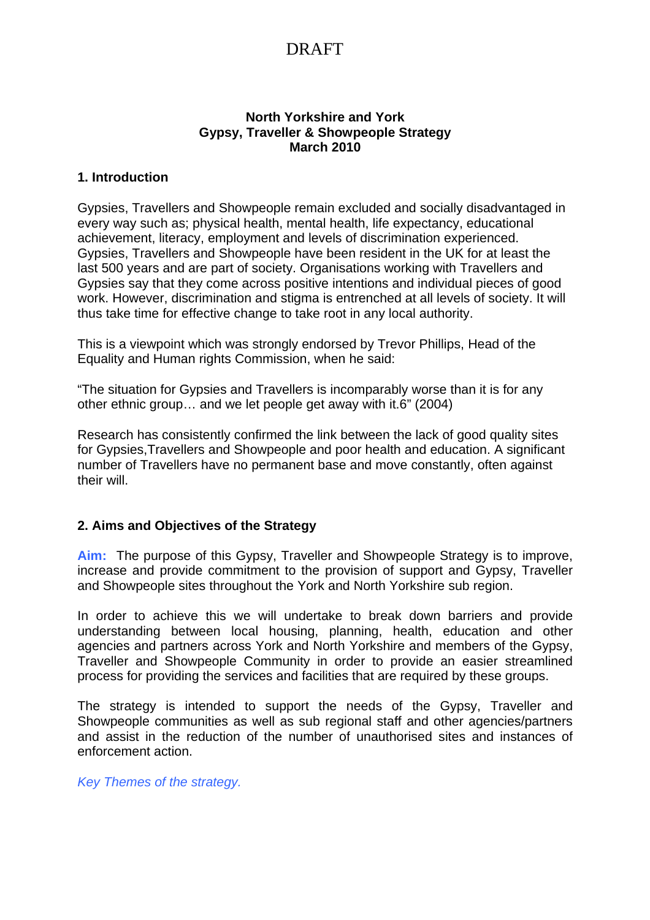#### **North Yorkshire and York Gypsy, Traveller & Showpeople Strategy March 2010**

### **1. Introduction**

Gypsies, Travellers and Showpeople remain excluded and socially disadvantaged in every way such as; physical health, mental health, life expectancy, educational achievement, literacy, employment and levels of discrimination experienced. Gypsies, Travellers and Showpeople have been resident in the UK for at least the last 500 years and are part of society. Organisations working with Travellers and Gypsies say that they come across positive intentions and individual pieces of good work. However, discrimination and stigma is entrenched at all levels of society. It will thus take time for effective change to take root in any local authority.

This is a viewpoint which was strongly endorsed by Trevor Phillips, Head of the Equality and Human rights Commission, when he said:

"The situation for Gypsies and Travellers is incomparably worse than it is for any other ethnic group… and we let people get away with it.6" (2004)

Research has consistently confirmed the link between the lack of good quality sites for Gypsies,Travellers and Showpeople and poor health and education. A significant number of Travellers have no permanent base and move constantly, often against their will.

#### **2. Aims and Objectives of the Strategy**

**Aim:** The purpose of this Gypsy, Traveller and Showpeople Strategy is to improve, increase and provide commitment to the provision of support and Gypsy, Traveller and Showpeople sites throughout the York and North Yorkshire sub region.

In order to achieve this we will undertake to break down barriers and provide understanding between local housing, planning, health, education and other agencies and partners across York and North Yorkshire and members of the Gypsy, Traveller and Showpeople Community in order to provide an easier streamlined process for providing the services and facilities that are required by these groups.

The strategy is intended to support the needs of the Gypsy, Traveller and Showpeople communities as well as sub regional staff and other agencies/partners and assist in the reduction of the number of unauthorised sites and instances of enforcement action.

*Key Themes of the strategy.*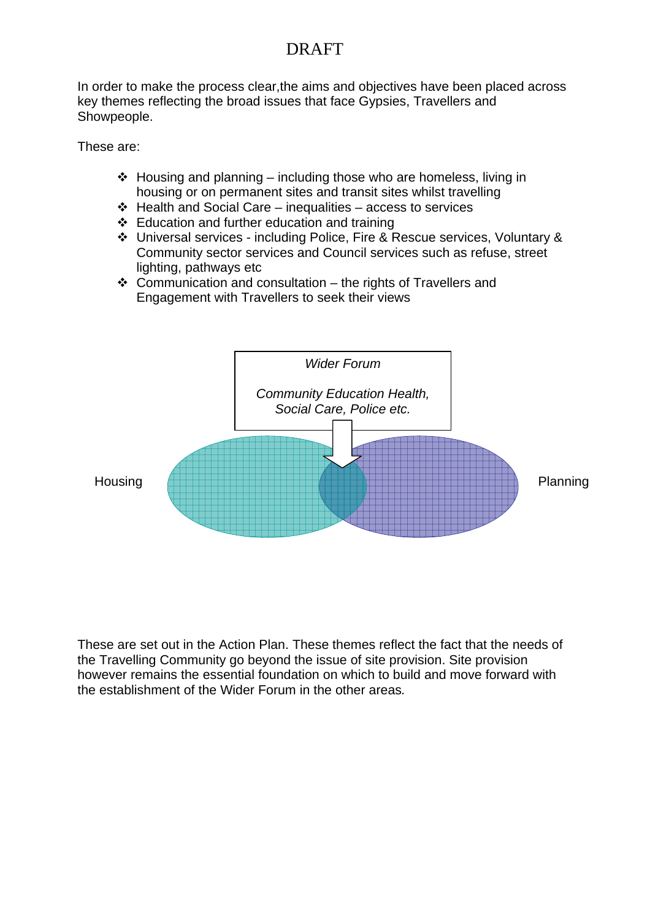In order to make the process clear,the aims and objectives have been placed across key themes reflecting the broad issues that face Gypsies, Travellers and Showpeople.

These are:

- $\triangleleft$  Housing and planning including those who are homeless, living in housing or on permanent sites and transit sites whilst travelling
- $\div$  Health and Social Care inequalities access to services
- $\div$  Education and further education and training
- Universal services including Police, Fire & Rescue services, Voluntary & Community sector services and Council services such as refuse, street lighting, pathways etc
- $\div$  Communication and consultation the rights of Travellers and Engagement with Travellers to seek their views



These are set out in the Action Plan. These themes reflect the fact that the needs of the Travelling Community go beyond the issue of site provision. Site provision however remains the essential foundation on which to build and move forward with the establishment of the Wider Forum in the other areas*.*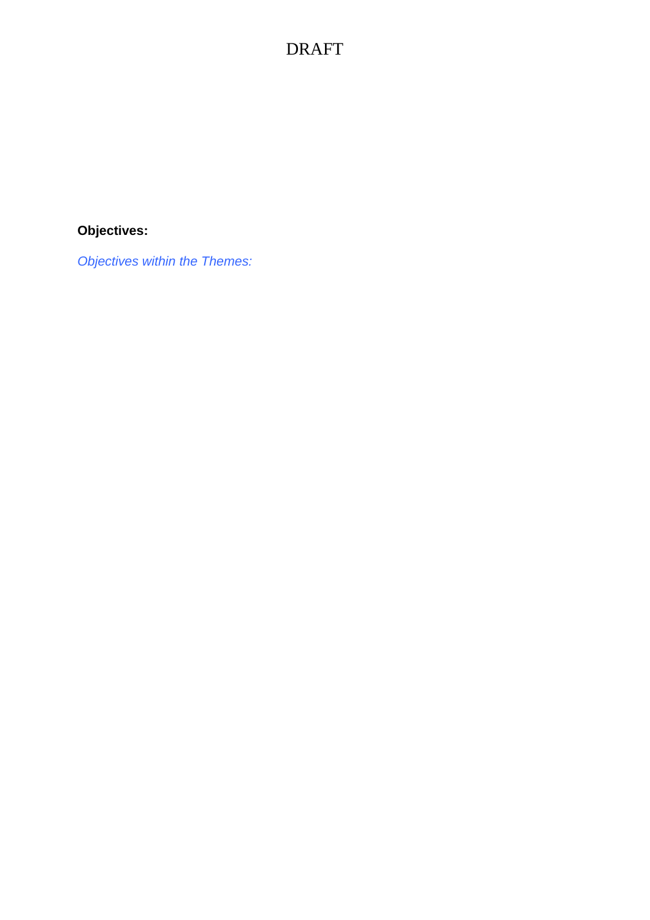## **Objectives:**

*Objectives within the Themes:*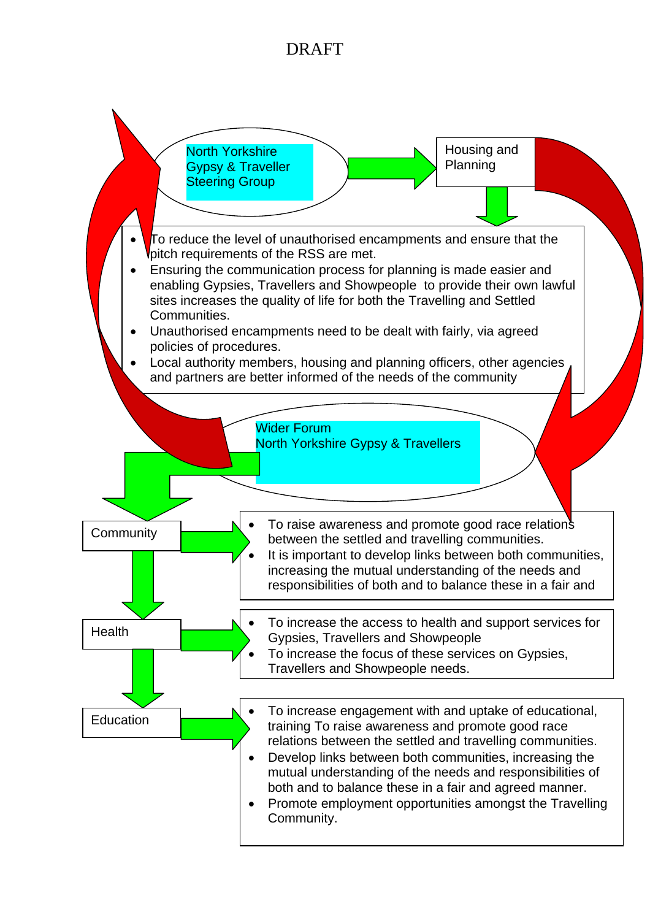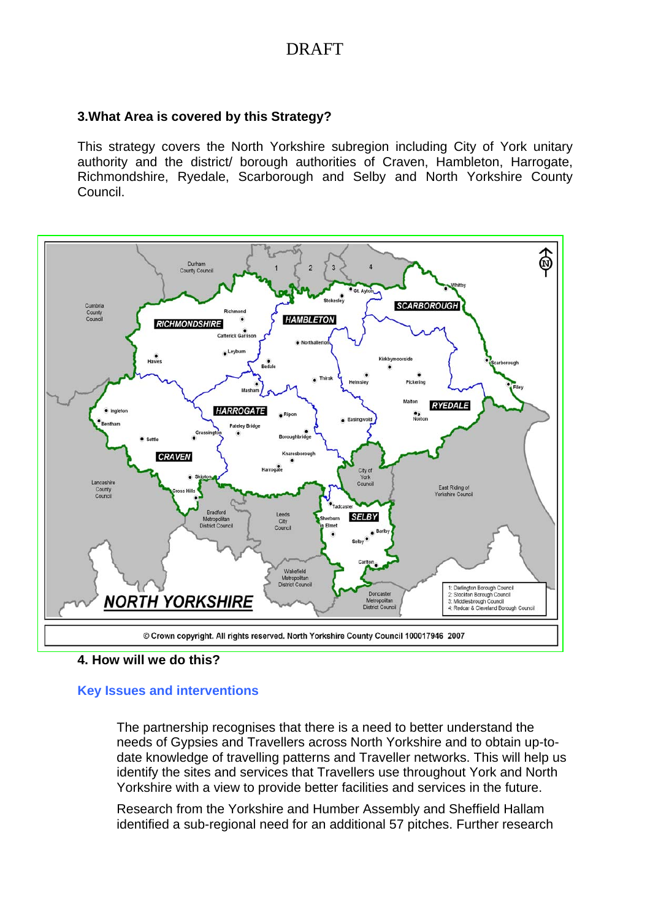#### **3.What Area is covered by this Strategy?**

This strategy covers the North Yorkshire subregion including City of York unitary authority and the district/ borough authorities of Craven, Hambleton, Harrogate, Richmondshire, Ryedale, Scarborough and Selby and North Yorkshire County Council.



**<sup>4.</sup> How will we do this?** 

#### **Key Issues and interventions**

The partnership recognises that there is a need to better understand the needs of Gypsies and Travellers across North Yorkshire and to obtain up-todate knowledge of travelling patterns and Traveller networks. This will help us identify the sites and services that Travellers use throughout York and North Yorkshire with a view to provide better facilities and services in the future.

Research from the Yorkshire and Humber Assembly and Sheffield Hallam identified a sub-regional need for an additional 57 pitches. Further research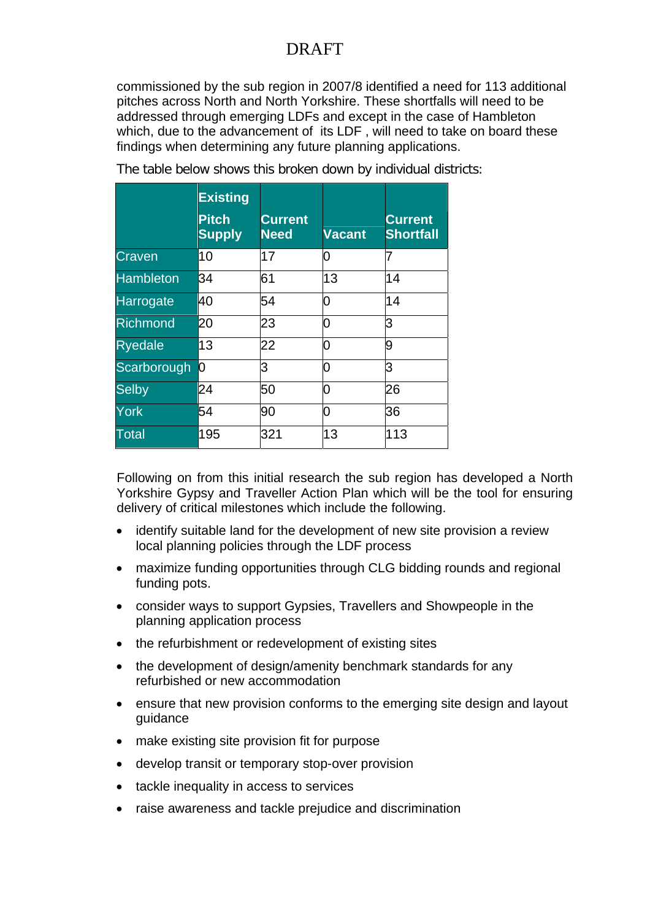commissioned by the sub region in 2007/8 identified a need for 113 additional pitches across North and North Yorkshire. These shortfalls will need to be addressed through emerging LDFs and except in the case of Hambleton which, due to the advancement of its LDF , will need to take on board these findings when determining any future planning applications.

|                  | <b>Existing</b><br><b>Pitch</b> | <b>Current</b> |               | <b>Current</b>   |
|------------------|---------------------------------|----------------|---------------|------------------|
|                  | <b>Supply</b>                   | <b>Need</b>    | <b>Vacant</b> | <b>Shortfall</b> |
| Craven           | 10                              | 17             | 0             |                  |
| <b>Hambleton</b> | 34                              | 61             | 13            | 14               |
| Harrogate        | 40                              | 54             | ი             | 14               |
| <b>Richmond</b>  | 20                              | 23             | ი             | З                |
| <b>Ryedale</b>   | 13                              | 22             | ი             | 9                |
| Scarborough      | 0                               | 3              | 0             | З                |
| <b>Selby</b>     | 24                              | 50             | ი             | 26               |
| York             | 54                              | 90             | ი             | 36               |
| <b>Total</b>     | 195                             | 321            | 13            | 113              |

The table below shows this broken down by individual districts:

Following on from this initial research the sub region has developed a North Yorkshire Gypsy and Traveller Action Plan which will be the tool for ensuring delivery of critical milestones which include the following.

- identify suitable land for the development of new site provision a review local planning policies through the LDF process
- maximize funding opportunities through CLG bidding rounds and regional funding pots.
- consider ways to support Gypsies, Travellers and Showpeople in the planning application process
- the refurbishment or redevelopment of existing sites
- the development of design/amenity benchmark standards for any refurbished or new accommodation
- ensure that new provision conforms to the emerging site design and layout guidance
- make existing site provision fit for purpose
- develop transit or temporary stop-over provision
- tackle inequality in access to services
- raise awareness and tackle prejudice and discrimination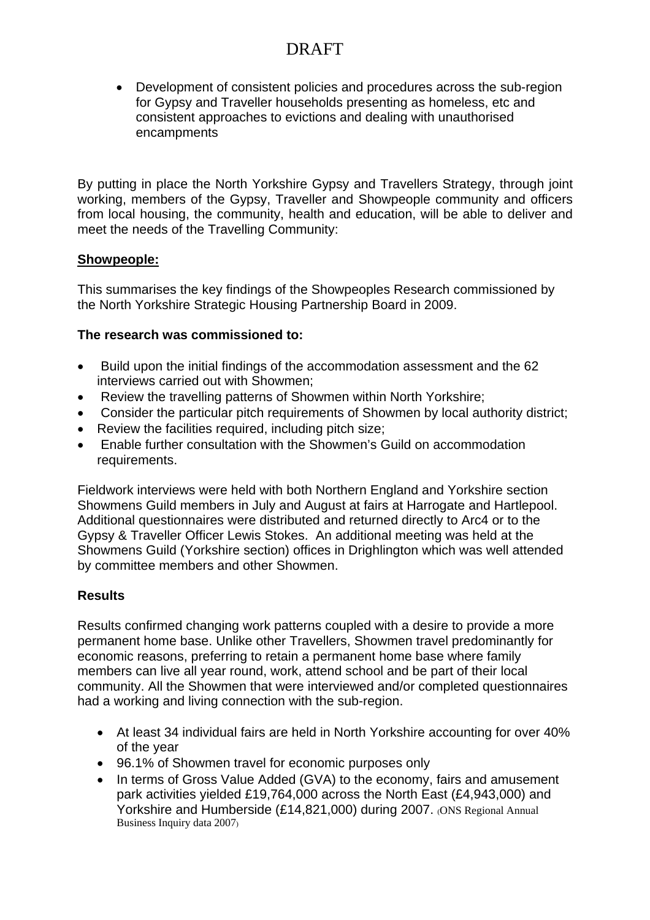• Development of consistent policies and procedures across the sub-region for Gypsy and Traveller households presenting as homeless, etc and consistent approaches to evictions and dealing with unauthorised encampments

By putting in place the North Yorkshire Gypsy and Travellers Strategy, through joint working, members of the Gypsy. Traveller and Showpeople community and officers from local housing, the community, health and education, will be able to deliver and meet the needs of the Travelling Community:

### **Showpeople:**

This summarises the key findings of the Showpeoples Research commissioned by the North Yorkshire Strategic Housing Partnership Board in 2009.

### **The research was commissioned to:**

- Build upon the initial findings of the accommodation assessment and the 62 interviews carried out with Showmen;
- Review the travelling patterns of Showmen within North Yorkshire;
- Consider the particular pitch requirements of Showmen by local authority district;
- Review the facilities required, including pitch size;
- Enable further consultation with the Showmen's Guild on accommodation requirements.

Fieldwork interviews were held with both Northern England and Yorkshire section Showmens Guild members in July and August at fairs at Harrogate and Hartlepool. Additional questionnaires were distributed and returned directly to Arc4 or to the Gypsy & Traveller Officer Lewis Stokes. An additional meeting was held at the Showmens Guild (Yorkshire section) offices in Drighlington which was well attended by committee members and other Showmen.

### **Results**

Results confirmed changing work patterns coupled with a desire to provide a more permanent home base. Unlike other Travellers, Showmen travel predominantly for economic reasons, preferring to retain a permanent home base where family members can live all year round, work, attend school and be part of their local community. All the Showmen that were interviewed and/or completed questionnaires had a working and living connection with the sub-region.

- At least 34 individual fairs are held in North Yorkshire accounting for over 40% of the year
- 96.1% of Showmen travel for economic purposes only
- In terms of Gross Value Added (GVA) to the economy, fairs and amusement park activities yielded £19,764,000 across the North East (£4,943,000) and Yorkshire and Humberside (£14,821,000) during 2007. (ONS Regional Annual Business Inquiry data 2007)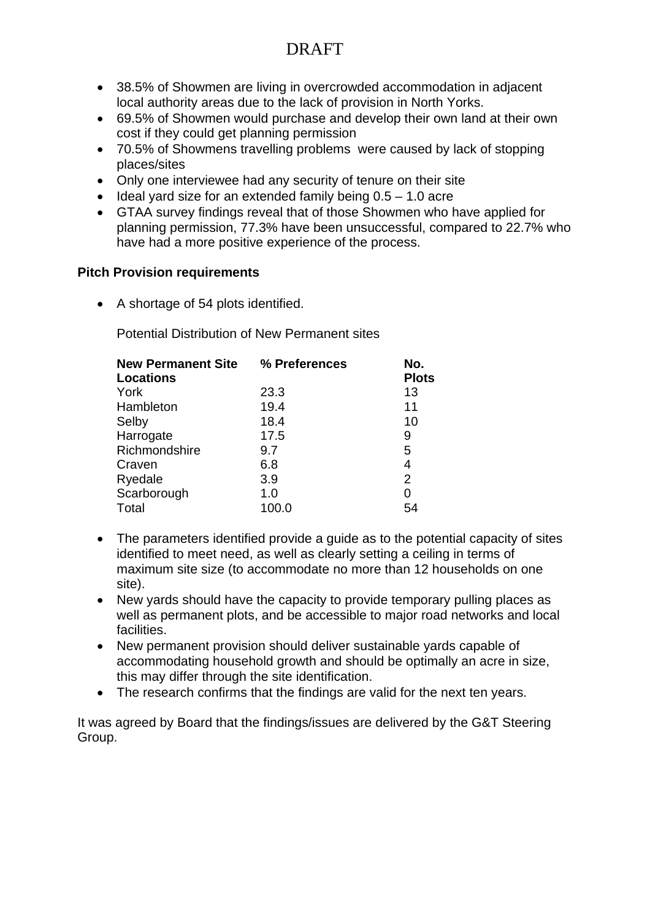- 38.5% of Showmen are living in overcrowded accommodation in adjacent local authority areas due to the lack of provision in North Yorks.
- 69.5% of Showmen would purchase and develop their own land at their own cost if they could get planning permission
- 70.5% of Showmens travelling problems were caused by lack of stopping places/sites
- Only one interviewee had any security of tenure on their site
- $\bullet$  Ideal yard size for an extended family being  $0.5 1.0$  acre
- GTAA survey findings reveal that of those Showmen who have applied for planning permission, 77.3% have been unsuccessful, compared to 22.7% who have had a more positive experience of the process.

### **Pitch Provision requirements**

• A shortage of 54 plots identified.

Potential Distribution of New Permanent sites

| <b>New Permanent Site</b><br><b>Locations</b> | % Preferences | No.<br><b>Plots</b> |
|-----------------------------------------------|---------------|---------------------|
| York                                          | 23.3          | 13                  |
| Hambleton                                     | 19.4          | 11                  |
| Selby                                         | 18.4          | 10                  |
| Harrogate                                     | 17.5          | 9                   |
| Richmondshire                                 | 9.7           | 5                   |
| Craven                                        | 6.8           | 4                   |
| Ryedale                                       | 3.9           | 2                   |
| Scarborough                                   | 1.0           | 0                   |
| Total                                         | 100.0         | 54                  |

- The parameters identified provide a guide as to the potential capacity of sites identified to meet need, as well as clearly setting a ceiling in terms of maximum site size (to accommodate no more than 12 households on one site).
- New yards should have the capacity to provide temporary pulling places as well as permanent plots, and be accessible to major road networks and local facilities.
- New permanent provision should deliver sustainable yards capable of accommodating household growth and should be optimally an acre in size, this may differ through the site identification.
- The research confirms that the findings are valid for the next ten years.

It was agreed by Board that the findings/issues are delivered by the G&T Steering Group.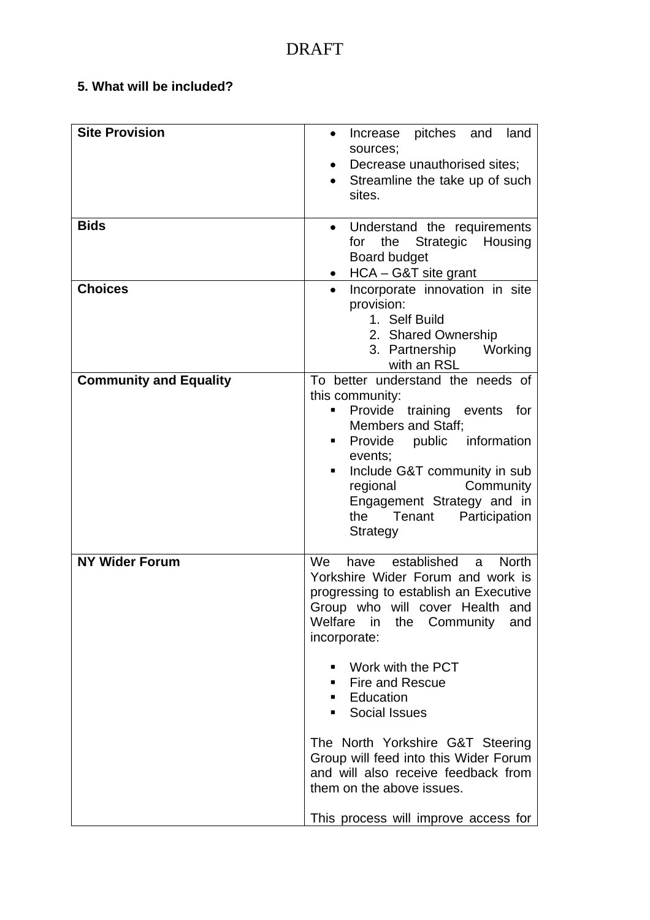### **5. What will be included?**

| <b>Site Provision</b>         | land<br>pitches and<br>Increase<br>$\bullet$<br>sources;<br>Decrease unauthorised sites;<br>$\bullet$<br>Streamline the take up of such<br>sites.                                                                                                                                                                                                                                                                                                                                            |
|-------------------------------|----------------------------------------------------------------------------------------------------------------------------------------------------------------------------------------------------------------------------------------------------------------------------------------------------------------------------------------------------------------------------------------------------------------------------------------------------------------------------------------------|
| <b>Bids</b>                   | Understand the requirements<br>$\bullet$<br>Strategic Housing<br>the<br>for<br><b>Board budget</b><br>$\bullet$ HCA – G&T site grant                                                                                                                                                                                                                                                                                                                                                         |
| <b>Choices</b>                | Incorporate innovation in site<br>provision:<br>1. Self Build<br>2. Shared Ownership<br>3. Partnership Working<br>with an RSL                                                                                                                                                                                                                                                                                                                                                                |
| <b>Community and Equality</b> | To better understand the needs of<br>this community:<br>Provide training events for<br><b>Members and Staff:</b><br>Provide public information<br>events;<br>Include G&T community in sub<br>٠<br>regional<br>Community<br>Engagement Strategy and in<br>the<br>Tenant<br>Participation<br>Strategy                                                                                                                                                                                          |
| <b>NY Wider Forum</b>         | established<br>We<br><b>North</b><br>have<br>a<br>Yorkshire Wider Forum and work is<br>progressing to establish an Executive<br>Group who will cover Health and<br>Welfare in the Community<br>and<br>incorporate:<br>Work with the PCT<br>■ Fire and Rescue<br><b>Education</b><br>• Social Issues<br>The North Yorkshire G&T Steering<br>Group will feed into this Wider Forum<br>and will also receive feedback from<br>them on the above issues.<br>This process will improve access for |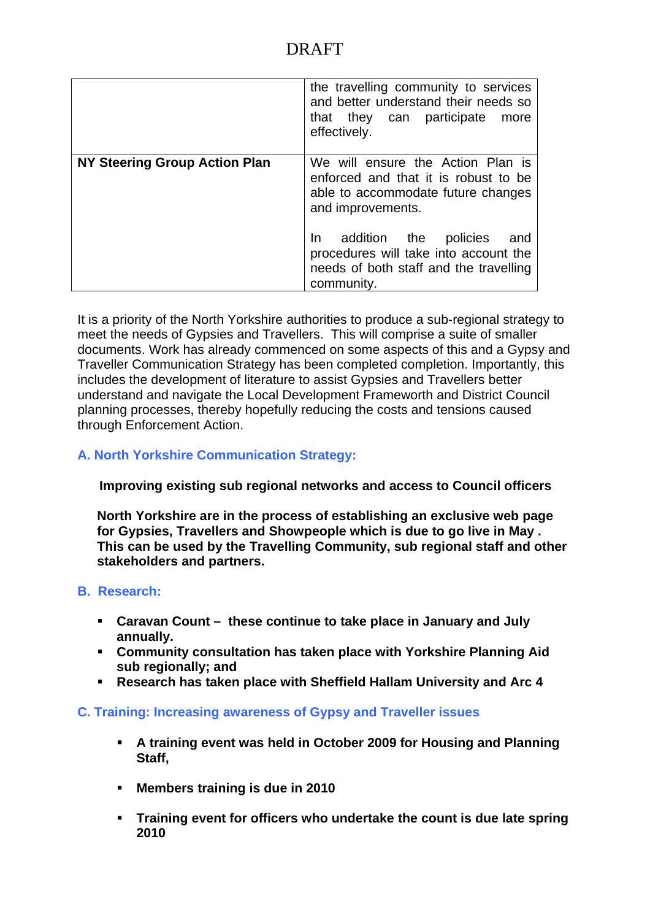|                                      | the travelling community to services<br>and better understand their needs so<br>that they can participate<br>more<br>effectively.       |
|--------------------------------------|-----------------------------------------------------------------------------------------------------------------------------------------|
| <b>NY Steering Group Action Plan</b> | We will ensure the Action Plan is<br>enforced and that it is robust to be<br>able to accommodate future changes<br>and improvements.    |
|                                      | addition the<br>policies<br>In.<br>and<br>procedures will take into account the<br>needs of both staff and the travelling<br>community. |

It is a priority of the North Yorkshire authorities to produce a sub-regional strategy to meet the needs of Gypsies and Travellers. This will comprise a suite of smaller documents. Work has already commenced on some aspects of this and a Gypsy and Traveller Communication Strategy has been completed completion. Importantly, this includes the development of literature to assist Gypsies and Travellers better understand and navigate the Local Development Frameworth and District Council planning processes, thereby hopefully reducing the costs and tensions caused through Enforcement Action.

### **A. North Yorkshire Communication Strategy:**

 **Improving existing sub regional networks and access to Council officers** 

**North Yorkshire are in the process of establishing an exclusive web page for Gypsies, Travellers and Showpeople which is due to go live in May . This can be used by the Travelling Community, sub regional staff and other stakeholders and partners.** 

### **B. Research:**

- **Caravan Count these continue to take place in January and July annually.**
- **Community consultation has taken place with Yorkshire Planning Aid sub regionally; and**
- **Research has taken place with Sheffield Hallam University and Arc 4**

#### **C. Training: Increasing awareness of Gypsy and Traveller issues**

- **A training event was held in October 2009 for Housing and Planning Staff,**
- **Members training is due in 2010**
- **Training event for officers who undertake the count is due late spring 2010**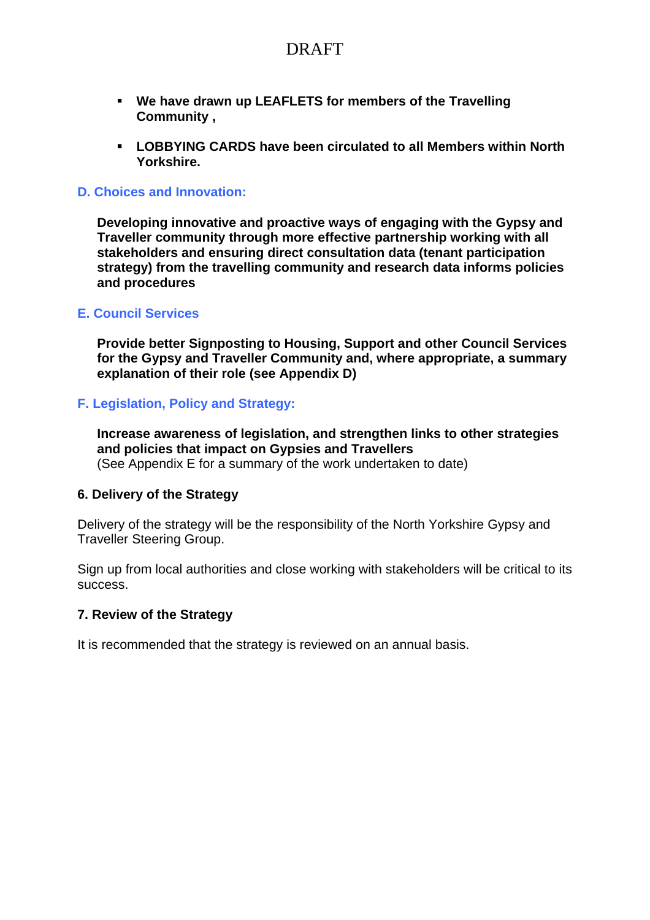- **We have drawn up LEAFLETS for members of the Travelling Community ,**
- **LOBBYING CARDS have been circulated to all Members within North Yorkshire.**

#### **D. Choices and Innovation:**

**Developing innovative and proactive ways of engaging with the Gypsy and Traveller community through more effective partnership working with all stakeholders and ensuring direct consultation data (tenant participation strategy) from the travelling community and research data informs policies and procedures**

#### **E. Council Services**

**Provide better Signposting to Housing, Support and other Council Services for the Gypsy and Traveller Community and, where appropriate, a summary explanation of their role (see Appendix D)** 

#### **F. Legislation, Policy and Strategy:**

**Increase awareness of legislation, and strengthen links to other strategies and policies that impact on Gypsies and Travellers**  (See Appendix E for a summary of the work undertaken to date)

#### **6. Delivery of the Strategy**

Delivery of the strategy will be the responsibility of the North Yorkshire Gypsy and Traveller Steering Group.

Sign up from local authorities and close working with stakeholders will be critical to its success.

#### **7. Review of the Strategy**

It is recommended that the strategy is reviewed on an annual basis.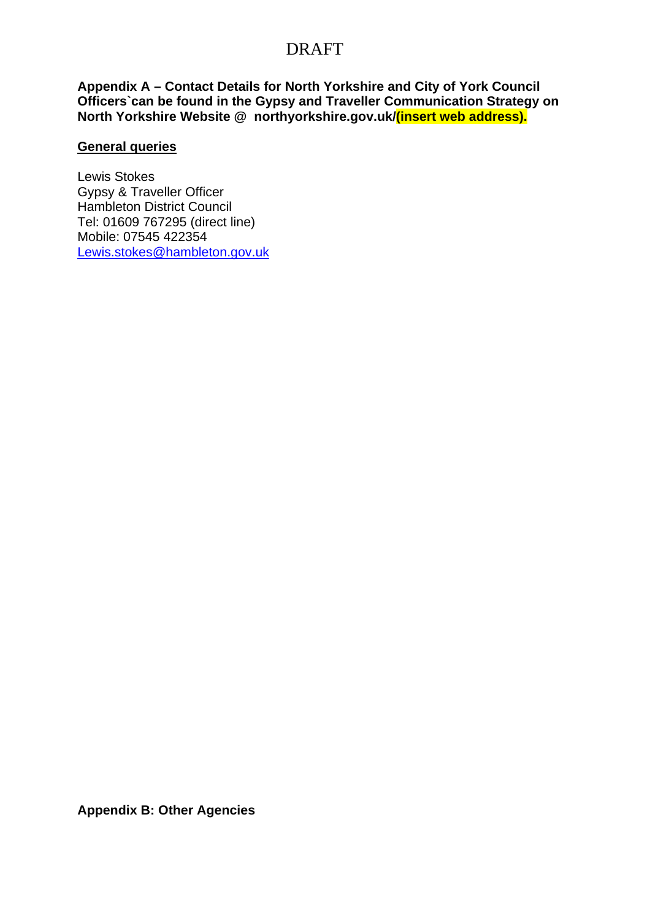**Appendix A – Contact Details for North Yorkshire and City of York Council Officers`can be found in the Gypsy and Traveller Communication Strategy on North Yorkshire Website @ northyorkshire.gov.uk/(insert web address).** 

#### **General queries**

Lewis Stokes Gypsy & Traveller Officer Hambleton District Council Tel: 01609 767295 (direct line) Mobile: 07545 422354 Lewis.stokes@hambleton.gov.uk

**Appendix B: Other Agencies**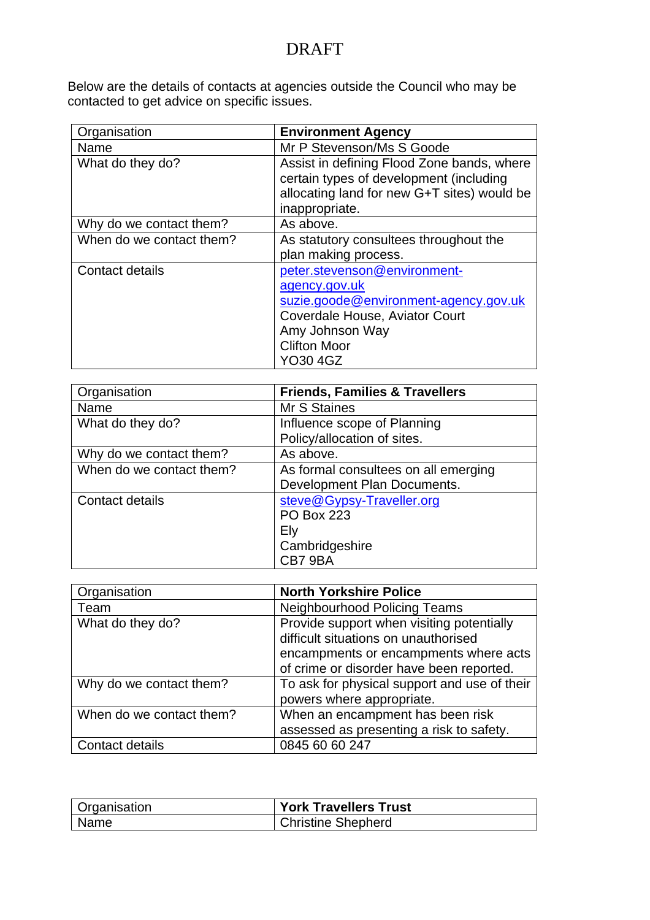Below are the details of contacts at agencies outside the Council who may be contacted to get advice on specific issues.

| Organisation             | <b>Environment Agency</b>                                                                                                                                                      |
|--------------------------|--------------------------------------------------------------------------------------------------------------------------------------------------------------------------------|
| Name                     | Mr P Stevenson/Ms S Goode                                                                                                                                                      |
| What do they do?         | Assist in defining Flood Zone bands, where<br>certain types of development (including<br>allocating land for new G+T sites) would be<br>inappropriate.                         |
| Why do we contact them?  | As above.                                                                                                                                                                      |
| When do we contact them? | As statutory consultees throughout the<br>plan making process.                                                                                                                 |
| Contact details          | peter.stevenson@environment-<br>agency.gov.uk<br>suzie.goode@environment-agency.gov.uk<br>Coverdale House, Aviator Court<br>Amy Johnson Way<br><b>Clifton Moor</b><br>YO30 4GZ |

| Organisation             | <b>Friends, Families &amp; Travellers</b> |
|--------------------------|-------------------------------------------|
| Name                     | Mr S Staines                              |
| What do they do?         | Influence scope of Planning               |
|                          | Policy/allocation of sites.               |
| Why do we contact them?  | As above.                                 |
| When do we contact them? | As formal consultees on all emerging      |
|                          | Development Plan Documents.               |
| Contact details          | steve@Gypsy-Traveller.org                 |
|                          | <b>PO Box 223</b>                         |
|                          | Ely                                       |
|                          | Cambridgeshire                            |
|                          | CB79BA                                    |

| Organisation             | <b>North Yorkshire Police</b>                                                                                                                                          |
|--------------------------|------------------------------------------------------------------------------------------------------------------------------------------------------------------------|
| Team                     | <b>Neighbourhood Policing Teams</b>                                                                                                                                    |
| What do they do?         | Provide support when visiting potentially<br>difficult situations on unauthorised<br>encampments or encampments where acts<br>of crime or disorder have been reported. |
| Why do we contact them?  | To ask for physical support and use of their<br>powers where appropriate.                                                                                              |
| When do we contact them? | When an encampment has been risk<br>assessed as presenting a risk to safety.                                                                                           |
| Contact details          | 0845 60 60 247                                                                                                                                                         |

| <b>Organisation</b> | <b>York Travellers Trust</b> |
|---------------------|------------------------------|
| <b>Name</b>         | <b>Christine Shepherd</b>    |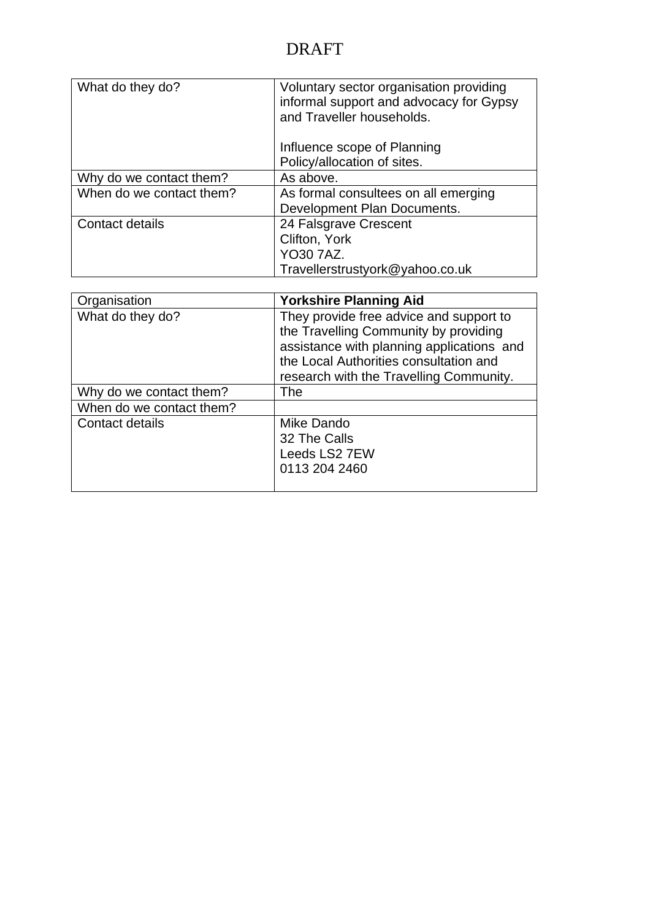| What do they do?         | Voluntary sector organisation providing<br>informal support and advocacy for Gypsy<br>and Traveller households. |
|--------------------------|-----------------------------------------------------------------------------------------------------------------|
|                          | Influence scope of Planning                                                                                     |
|                          | Policy/allocation of sites.                                                                                     |
| Why do we contact them?  | As above.                                                                                                       |
| When do we contact them? | As formal consultees on all emerging<br>Development Plan Documents.                                             |
| Contact details          | 24 Falsgrave Crescent                                                                                           |
|                          | Clifton, York                                                                                                   |
|                          | <b>YO30 7AZ.</b>                                                                                                |
|                          | Travellerstrustyork@yahoo.co.uk                                                                                 |

| Organisation             | <b>Yorkshire Planning Aid</b>             |
|--------------------------|-------------------------------------------|
| What do they do?         | They provide free advice and support to   |
|                          | the Travelling Community by providing     |
|                          | assistance with planning applications and |
|                          | the Local Authorities consultation and    |
|                          | research with the Travelling Community.   |
| Why do we contact them?  | The                                       |
| When do we contact them? |                                           |
| Contact details          | Mike Dando                                |
|                          | 32 The Calls                              |
|                          | Leeds LS2 7EW                             |
|                          | 0113 204 2460                             |
|                          |                                           |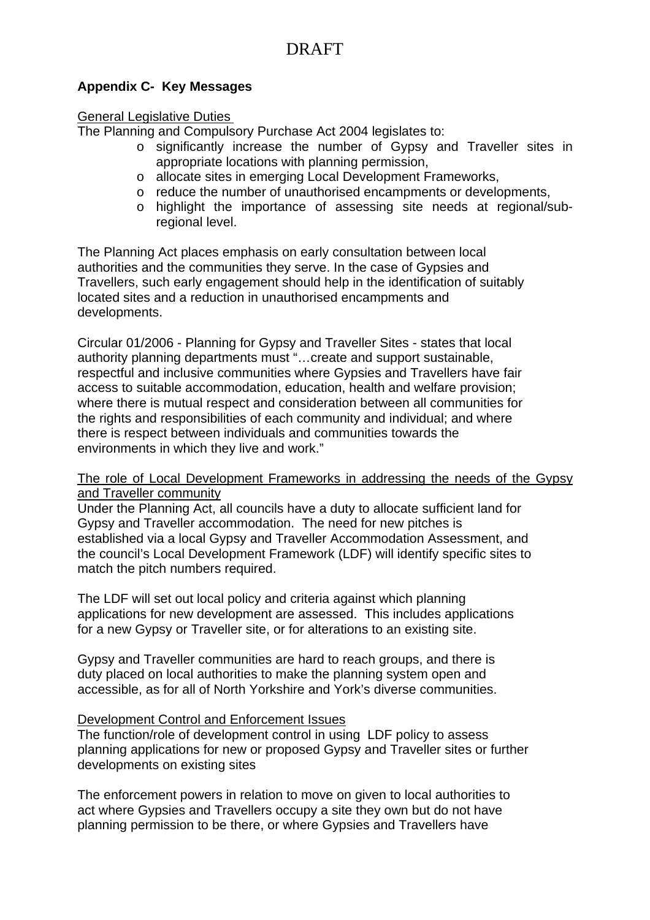### **Appendix C- Key Messages**

#### General Legislative Duties

The Planning and Compulsory Purchase Act 2004 legislates to:

- o significantly increase the number of Gypsy and Traveller sites in appropriate locations with planning permission,
- o allocate sites in emerging Local Development Frameworks,
- o reduce the number of unauthorised encampments or developments,
- o highlight the importance of assessing site needs at regional/subregional level.

The Planning Act places emphasis on early consultation between local authorities and the communities they serve. In the case of Gypsies and Travellers, such early engagement should help in the identification of suitably located sites and a reduction in unauthorised encampments and developments.

Circular 01/2006 - Planning for Gypsy and Traveller Sites - states that local authority planning departments must "…create and support sustainable, respectful and inclusive communities where Gypsies and Travellers have fair access to suitable accommodation, education, health and welfare provision; where there is mutual respect and consideration between all communities for the rights and responsibilities of each community and individual; and where there is respect between individuals and communities towards the environments in which they live and work."

#### The role of Local Development Frameworks in addressing the needs of the Gypsy and Traveller community

Under the Planning Act, all councils have a duty to allocate sufficient land for Gypsy and Traveller accommodation. The need for new pitches is established via a local Gypsy and Traveller Accommodation Assessment, and the council's Local Development Framework (LDF) will identify specific sites to match the pitch numbers required.

The LDF will set out local policy and criteria against which planning applications for new development are assessed. This includes applications for a new Gypsy or Traveller site, or for alterations to an existing site.

Gypsy and Traveller communities are hard to reach groups, and there is duty placed on local authorities to make the planning system open and accessible, as for all of North Yorkshire and York's diverse communities.

#### Development Control and Enforcement Issues

The function/role of development control in using LDF policy to assess planning applications for new or proposed Gypsy and Traveller sites or further developments on existing sites

The enforcement powers in relation to move on given to local authorities to act where Gypsies and Travellers occupy a site they own but do not have planning permission to be there, or where Gypsies and Travellers have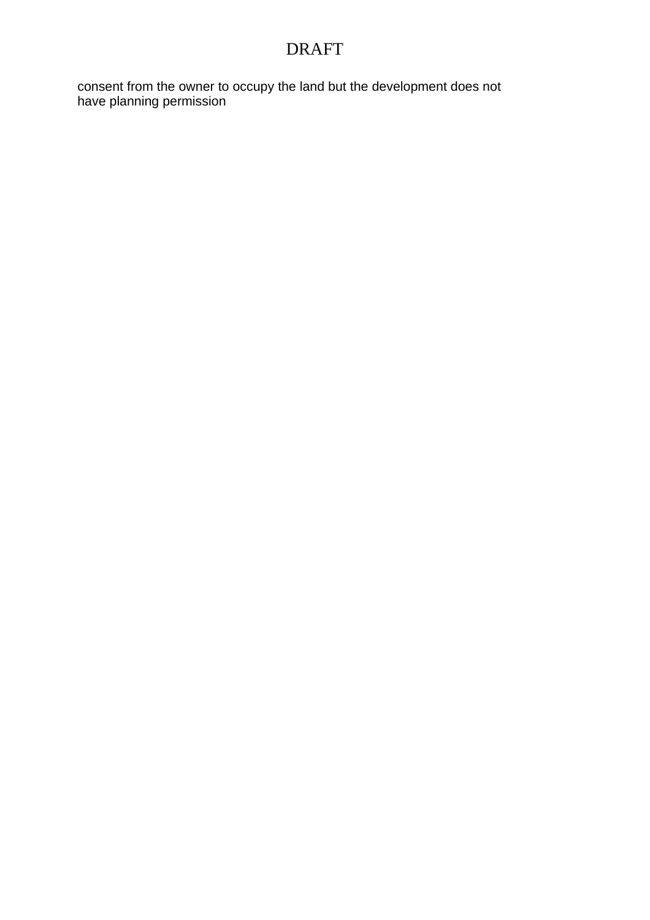consent from the owner to occupy the land but the development does not have planning permission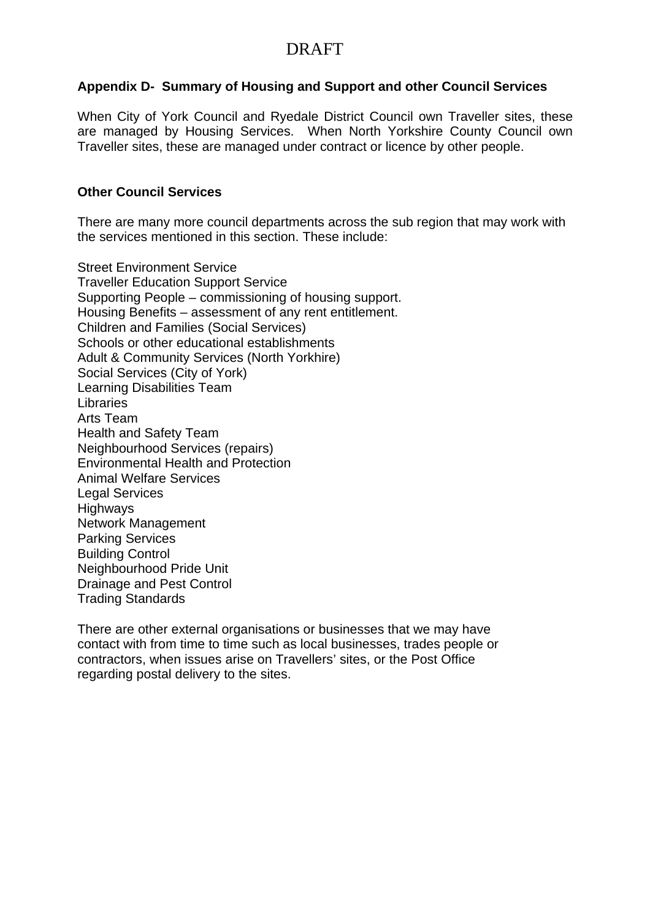### **Appendix D- Summary of Housing and Support and other Council Services**

When City of York Council and Ryedale District Council own Traveller sites, these are managed by Housing Services. When North Yorkshire County Council own Traveller sites, these are managed under contract or licence by other people.

### **Other Council Services**

There are many more council departments across the sub region that may work with the services mentioned in this section. These include:

Street Environment Service Traveller Education Support Service Supporting People – commissioning of housing support. Housing Benefits – assessment of any rent entitlement. Children and Families (Social Services) Schools or other educational establishments Adult & Community Services (North Yorkhire) Social Services (City of York) Learning Disabilities Team Libraries Arts Team Health and Safety Team Neighbourhood Services (repairs) Environmental Health and Protection Animal Welfare Services Legal Services **Highways** Network Management Parking Services Building Control Neighbourhood Pride Unit Drainage and Pest Control Trading Standards

There are other external organisations or businesses that we may have contact with from time to time such as local businesses, trades people or contractors, when issues arise on Travellers' sites, or the Post Office regarding postal delivery to the sites.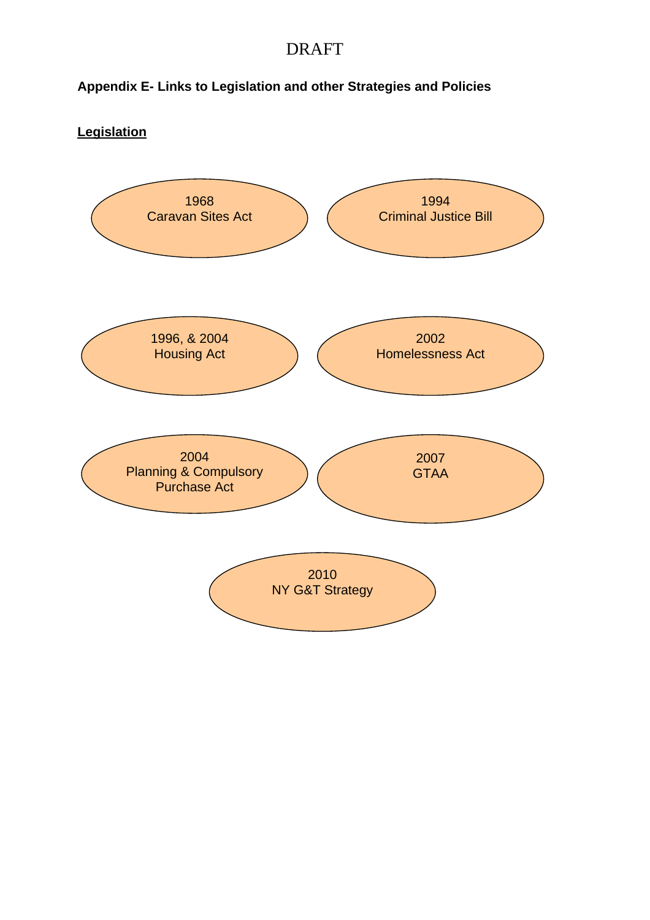### **Appendix E- Links to Legislation and other Strategies and Policies**

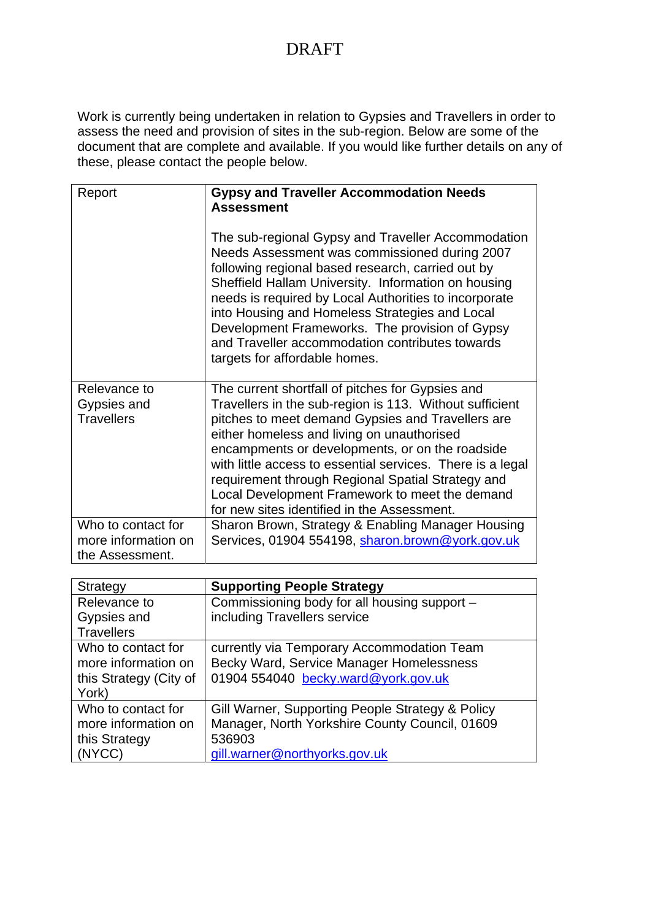Work is currently being undertaken in relation to Gypsies and Travellers in order to assess the need and provision of sites in the sub-region. Below are some of the document that are complete and available. If you would like further details on any of these, please contact the people below.

| Report                                                       | <b>Gypsy and Traveller Accommodation Needs</b><br><b>Assessment</b>                                                                                                                                                                                                                                                                                                                                                                                                                   |
|--------------------------------------------------------------|---------------------------------------------------------------------------------------------------------------------------------------------------------------------------------------------------------------------------------------------------------------------------------------------------------------------------------------------------------------------------------------------------------------------------------------------------------------------------------------|
|                                                              | The sub-regional Gypsy and Traveller Accommodation<br>Needs Assessment was commissioned during 2007<br>following regional based research, carried out by<br>Sheffield Hallam University. Information on housing<br>needs is required by Local Authorities to incorporate<br>into Housing and Homeless Strategies and Local<br>Development Frameworks. The provision of Gypsy<br>and Traveller accommodation contributes towards<br>targets for affordable homes.                      |
| Relevance to<br>Gypsies and<br><b>Travellers</b>             | The current shortfall of pitches for Gypsies and<br>Travellers in the sub-region is 113. Without sufficient<br>pitches to meet demand Gypsies and Travellers are<br>either homeless and living on unauthorised<br>encampments or developments, or on the roadside<br>with little access to essential services. There is a legal<br>requirement through Regional Spatial Strategy and<br>Local Development Framework to meet the demand<br>for new sites identified in the Assessment. |
| Who to contact for<br>more information on<br>the Assessment. | Sharon Brown, Strategy & Enabling Manager Housing<br>Services, 01904 554198, sharon.brown@york.gov.uk                                                                                                                                                                                                                                                                                                                                                                                 |

| Strategy               | <b>Supporting People Strategy</b>                |
|------------------------|--------------------------------------------------|
| Relevance to           | Commissioning body for all housing support -     |
| Gypsies and            | including Travellers service                     |
| <b>Travellers</b>      |                                                  |
| Who to contact for     | currently via Temporary Accommodation Team       |
| more information on    | Becky Ward, Service Manager Homelessness         |
| this Strategy (City of | 01904 554040 becky.ward@york.gov.uk              |
| York)                  |                                                  |
| Who to contact for     | Gill Warner, Supporting People Strategy & Policy |
| more information on    | Manager, North Yorkshire County Council, 01609   |
| this Strategy          | 536903                                           |
| (NYCC)                 | gill.warner@northyorks.gov.uk                    |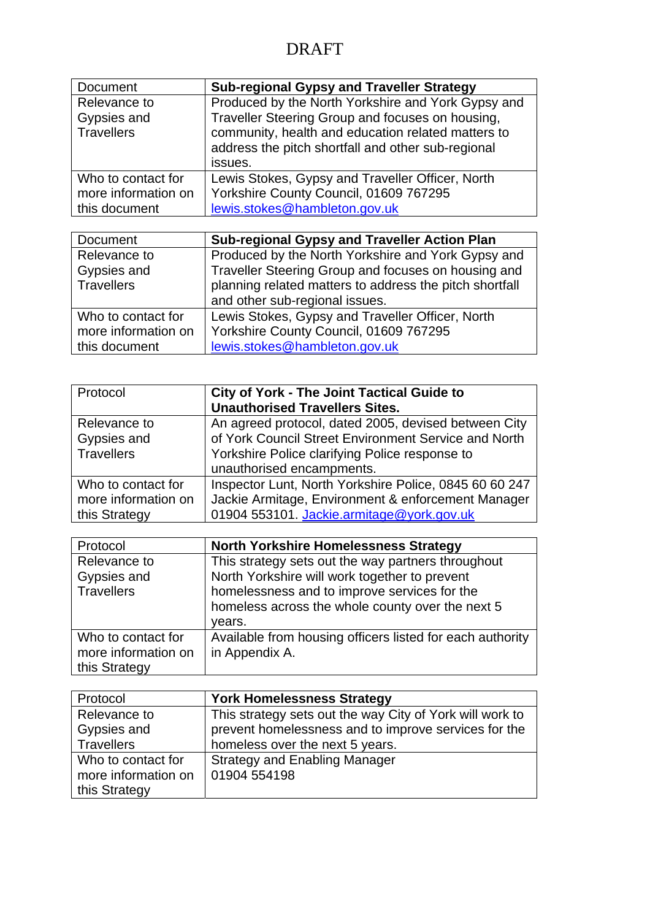| Document            | <b>Sub-regional Gypsy and Traveller Strategy</b>   |
|---------------------|----------------------------------------------------|
| Relevance to        | Produced by the North Yorkshire and York Gypsy and |
| Gypsies and         | Traveller Steering Group and focuses on housing,   |
| Travellers          | community, health and education related matters to |
|                     | address the pitch shortfall and other sub-regional |
|                     | issues.                                            |
| Who to contact for  | Lewis Stokes, Gypsy and Traveller Officer, North   |
| more information on | Yorkshire County Council, 01609 767295             |
| this document       | lewis.stokes@hambleton.gov.uk                      |

| Document            | <b>Sub-regional Gypsy and Traveller Action Plan</b>     |
|---------------------|---------------------------------------------------------|
| Relevance to        | Produced by the North Yorkshire and York Gypsy and      |
| Gypsies and         | Traveller Steering Group and focuses on housing and     |
| Travellers          | planning related matters to address the pitch shortfall |
|                     | and other sub-regional issues.                          |
| Who to contact for  | Lewis Stokes, Gypsy and Traveller Officer, North        |
| more information on | Yorkshire County Council, 01609 767295                  |
| this document       | lewis.stokes@hambleton.gov.uk                           |

| Protocol                                                   | <b>City of York - The Joint Tactical Guide to</b><br><b>Unauthorised Travellers Sites.</b>                                                                                                  |
|------------------------------------------------------------|---------------------------------------------------------------------------------------------------------------------------------------------------------------------------------------------|
| Relevance to<br>Gypsies and<br><b>Travellers</b>           | An agreed protocol, dated 2005, devised between City<br>of York Council Street Environment Service and North<br>Yorkshire Police clarifying Police response to<br>unauthorised encampments. |
| Who to contact for<br>more information on<br>this Strategy | Inspector Lunt, North Yorkshire Police, 0845 60 60 247<br>Jackie Armitage, Environment & enforcement Manager<br>01904 553101. Jackie.armitage@york.gov.uk                                   |

| Protocol                                                   | <b>North Yorkshire Homelessness Strategy</b>                                                                                                                                                                      |
|------------------------------------------------------------|-------------------------------------------------------------------------------------------------------------------------------------------------------------------------------------------------------------------|
| Relevance to<br>Gypsies and<br><b>Travellers</b>           | This strategy sets out the way partners throughout<br>North Yorkshire will work together to prevent<br>homelessness and to improve services for the<br>homeless across the whole county over the next 5<br>vears. |
| Who to contact for<br>more information on<br>this Strategy | Available from housing officers listed for each authority<br>in Appendix A.                                                                                                                                       |

| Protocol            | <b>York Homelessness Strategy</b>                        |
|---------------------|----------------------------------------------------------|
| Relevance to        | This strategy sets out the way City of York will work to |
| Gypsies and         | prevent homelessness and to improve services for the     |
| <b>Travellers</b>   | homeless over the next 5 years.                          |
| Who to contact for  | <b>Strategy and Enabling Manager</b>                     |
| more information on | 01904 554198                                             |
| this Strategy       |                                                          |